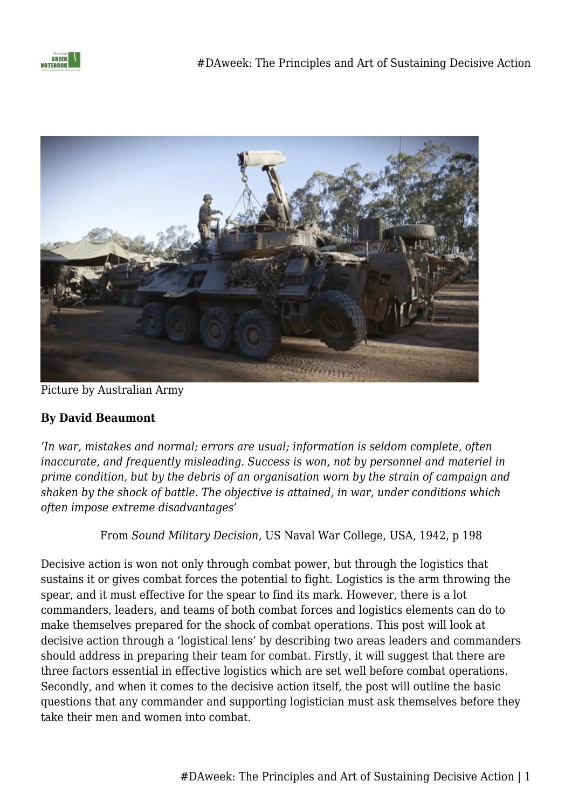



Picture by Australian Army

## **By David Beaumont**

*'In war, mistakes and normal; errors are usual; information is seldom complete, often inaccurate, and frequently misleading. Success is won, not by personnel and materiel in prime condition, but by the debris of an organisation worn by the strain of campaign and shaken by the shock of battle. The objective is attained, in war, under conditions which often impose extreme disadvantages'*

From *Sound Military Decision*, US Naval War College, USA, 1942, p 198

Decisive action is won not only through combat power, but through the logistics that sustains it or gives combat forces the potential to fight. Logistics is the arm throwing the spear, and it must effective for the spear to find its mark. However, there is a lot commanders, leaders, and teams of both combat forces and logistics elements can do to make themselves prepared for the shock of combat operations. This post will look at decisive action through a 'logistical lens' by describing two areas leaders and commanders should address in preparing their team for combat. Firstly, it will suggest that there are three factors essential in effective logistics which are set well before combat operations. Secondly, and when it comes to the decisive action itself, the post will outline the basic questions that any commander and supporting logistician must ask themselves before they take their men and women into combat.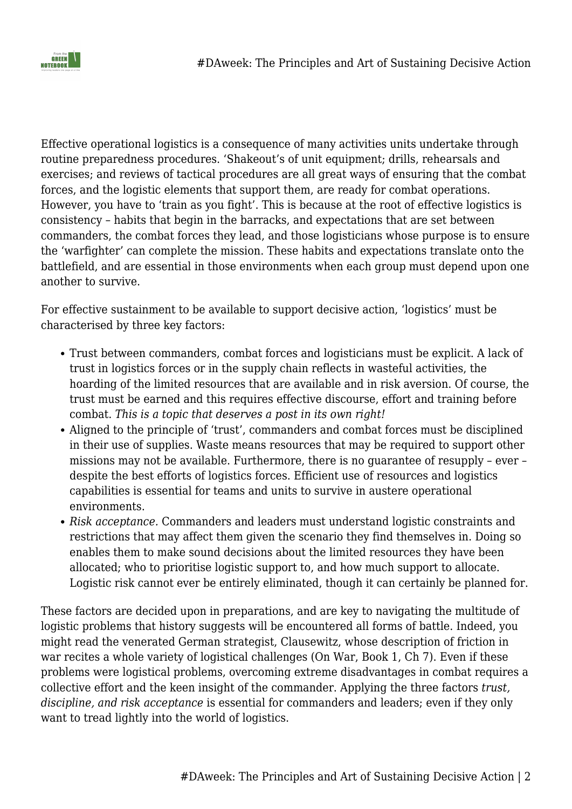

Effective operational logistics is a consequence of many activities units undertake through routine preparedness procedures. 'Shakeout's of unit equipment; drills, rehearsals and exercises; and reviews of tactical procedures are all great ways of ensuring that the combat forces, and the logistic elements that support them, are ready for combat operations. However, you have to 'train as you fight'. This is because at the root of effective logistics is consistency – habits that begin in the barracks, and expectations that are set between commanders, the combat forces they lead, and those logisticians whose purpose is to ensure the 'warfighter' can complete the mission. These habits and expectations translate onto the battlefield, and are essential in those environments when each group must depend upon one another to survive.

For effective sustainment to be available to support decisive action, 'logistics' must be characterised by three key factors:

- Trust between commanders, combat forces and logisticians must be explicit. A lack of trust in logistics forces or in the supply chain reflects in wasteful activities, the hoarding of the limited resources that are available and in risk aversion. Of course, the trust must be earned and this requires effective discourse, effort and training before combat. *This is a topic that deserves a post in its own right!*
- Aligned to the principle of 'trust', commanders and combat forces must be disciplined in their use of supplies. Waste means resources that may be required to support other missions may not be available. Furthermore, there is no guarantee of resupply – ever – despite the best efforts of logistics forces. Efficient use of resources and logistics capabilities is essential for teams and units to survive in austere operational environments.
- *Risk acceptance.* Commanders and leaders must understand logistic constraints and restrictions that may affect them given the scenario they find themselves in. Doing so enables them to make sound decisions about the limited resources they have been allocated; who to prioritise logistic support to, and how much support to allocate. Logistic risk cannot ever be entirely eliminated, though it can certainly be planned for.

These factors are decided upon in preparations, and are key to navigating the multitude of logistic problems that history suggests will be encountered all forms of battle. Indeed, you might read the venerated German strategist, Clausewitz, whose description of friction in war recites a whole variety of logistical challenges (On War, Book 1, Ch 7). Even if these problems were logistical problems, overcoming extreme disadvantages in combat requires a collective effort and the keen insight of the commander. Applying the three factors *trust, discipline, and risk acceptance* is essential for commanders and leaders; even if they only want to tread lightly into the world of logistics.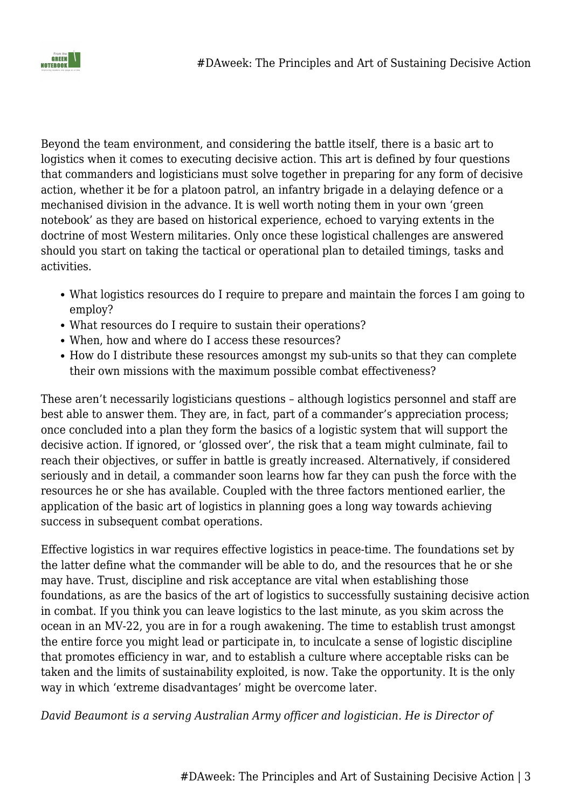

Beyond the team environment, and considering the battle itself, there is a basic art to logistics when it comes to executing decisive action. This art is defined by four questions that commanders and logisticians must solve together in preparing for any form of decisive action, whether it be for a platoon patrol, an infantry brigade in a delaying defence or a mechanised division in the advance. It is well worth noting them in your own 'green notebook' as they are based on historical experience, echoed to varying extents in the doctrine of most Western militaries. Only once these logistical challenges are answered should you start on taking the tactical or operational plan to detailed timings, tasks and activities.

- What logistics resources do I require to prepare and maintain the forces I am going to employ?
- What resources do I require to sustain their operations?
- When, how and where do I access these resources?
- How do I distribute these resources amongst my sub-units so that they can complete their own missions with the maximum possible combat effectiveness?

These aren't necessarily logisticians questions – although logistics personnel and staff are best able to answer them. They are, in fact, part of a commander's appreciation process; once concluded into a plan they form the basics of a logistic system that will support the decisive action. If ignored, or 'glossed over', the risk that a team might culminate, fail to reach their objectives, or suffer in battle is greatly increased. Alternatively, if considered seriously and in detail, a commander soon learns how far they can push the force with the resources he or she has available. Coupled with the three factors mentioned earlier, the application of the basic art of logistics in planning goes a long way towards achieving success in subsequent combat operations.

Effective logistics in war requires effective logistics in peace-time. The foundations set by the latter define what the commander will be able to do, and the resources that he or she may have. Trust, discipline and risk acceptance are vital when establishing those foundations, as are the basics of the art of logistics to successfully sustaining decisive action in combat. If you think you can leave logistics to the last minute, as you skim across the ocean in an MV-22, you are in for a rough awakening. The time to establish trust amongst the entire force you might lead or participate in, to inculcate a sense of logistic discipline that promotes efficiency in war, and to establish a culture where acceptable risks can be taken and the limits of sustainability exploited, is now. Take the opportunity. It is the only way in which 'extreme disadvantages' might be overcome later.

*David Beaumont is a serving Australian Army officer and logistician. He is Director of*